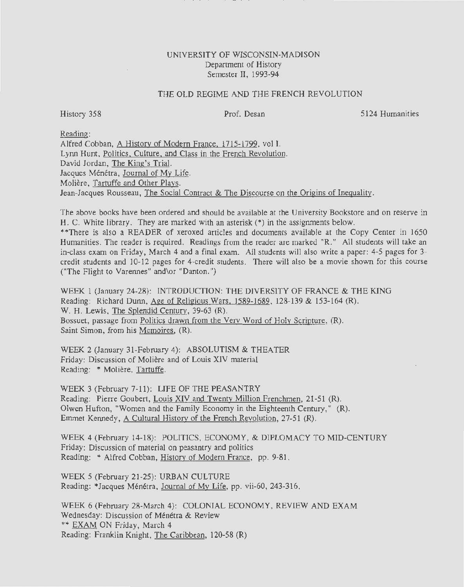## UNIVERSITY OF WISCONSIN-MADISON Department of History Semester II, 1993-94

## THE OLD REGIME AND THE FRENCH REVOLUTION

History 358 Prof. Desan

5124 Humanities

Reading:

Alfred Cobban, A History of Modern France. 1715-1799, vol I. Lynn Hunt, Politics. Culture. and Class in the French Revolution. David Jordan, The King's Trial. Jacques Ménétra, Journal of My Life. Moliere, Tartuffe and Other Plays. Jean-Jacques Rousseau, The Social Contract & The Discourse on the Origins of Inequality.

The above books have been ordered and should be available at the University Bookstore and on reserve in H. C. White library. They are marked with an asterisk(\*) in the assignments below.

\*\*There is also a READER of xeroxed articles and documents available at the Copy Center in 1650 Humanities. The reader is required. Readings from the reader are marked "R." All students will take an in-class exam on Friday, March 4 and a final exam. All students will also write a paper: 4-5 pages for 3 credit students and 10-12 pages for 4-credit students. There will also be a movie shown for this course ("The Flight to Varennes" and\or "Danton.")

WEEK 1 (January 24-28): INTRODUCTION: THE DIVERSITY OF FRANCE & THE KING Reading: Richard Dunn, Age of Religious Wars. 1589-1689, 128-139 & 153-164 (R). W. H. Lewis, The Splendid Century, 39-63 (R). Bossuet, passage from Politics drawn from the Verv Word of Holy Scripture, (R). Saint Simon, from his Memoires, (R).

WEEK 2 (January 31-February 4): ABSOLUTISM & THEATER Friday: Discussion of Moliere and of Louis XIV material Reading: \* Moliere, Tartuffe.

WEEK 3 (February 7-11): LIFE OF THE PEASANTRY Reading: Pierre Gaubert, Louis XIV and Twenty Million Frenchmen, 21-51 (R). Olwen Hufton, "Women and the Family Economy in the Eighteenth Century," (R). Emmet Kennedy, A Cultural History of the French Revolution, 27-51 (R).

WEEK 4 (February 14-18): POLITICS, ECONOMY, & DIPLOMACY TO MID-CENTURY Friday: Discussion of material on peasantry and politics Reading: \* Alfred Cobban, History of Modern France, pp. 9-81.

WEEK 5 (February 21-25): URBAN CULTURE Reading: \*Jacques Ménétra, Journal of My Life, pp. vii-60, 243-316.

WEEK 6 (February 28-March 4): COLONIAL ECONOMY, REVIEW AND EXAM Wednesday: Discussion of Ménétra & Review \*\* EXAM ON Friday, March 4 Reading: Franklin Knight, The Caribbean, 120-58 (R)